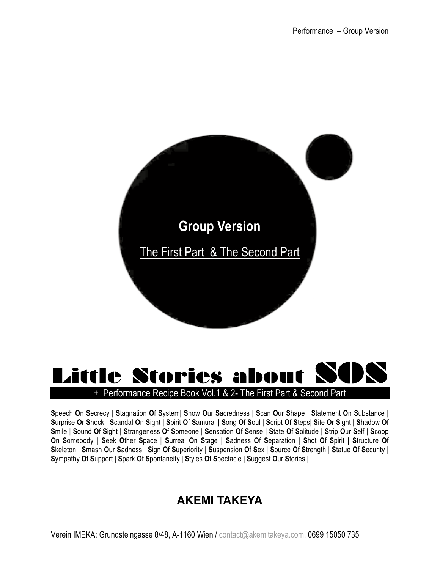

# Little Stories about  $\mathbf S$ + Performance Recipe Book Vol.1 & 2- The First Part & Second Part

**S**peech **O**n **S**ecrecy | **S**tagnation **O**f **S**ystem| **S**how **O**ur **S**acredness | **S**can **O**ur **S**hape | **S**tatement **O**n **S**ubstance | Surprise Or Shock | Scandal On Sight | Spirit Of Samurai | Song Of Soul | Script Of Steps| Site Or Sight | Shadow Of Smile | Sound Of Sight | Strangeness Of Someone | Sensation Of Sense | State Of Solitude | Strip Our Self | Scoop **O**n **S**omebody | **S**eek **O**ther **S**pace | **S**urreal **O**n **S**tage | **S**adness **O**f **S**eparation | **S**hot **O**f **S**pirit | **S**tructure **O**f Skeleton | Smash Our Sadness | Sign Of Superiority | Suspension Of Sex | Source Of Strength | Statue Of Security | **S**ympathy **O**f **S**upport | **S**park **O**f **S**pontaneity | **S**tyles **O**f **S**pectacle | **S**uggest **O**ur **S**tories |

# **AKEMI TAKEYA**

Verein IMEKA: Grundsteingasse 8/48, A-1160 Wien / contact@akemitakeya.com, 0699 15050 735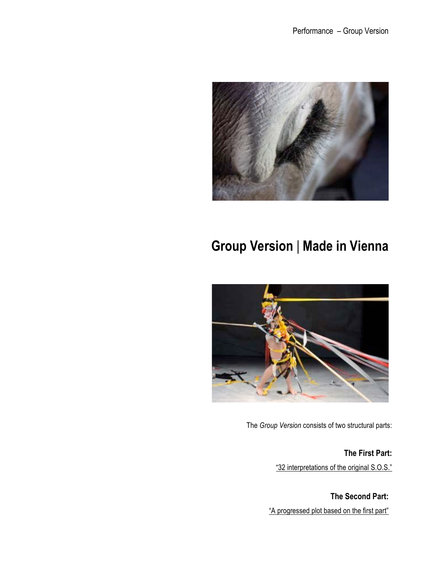

# **Group Version** | **Made in Vienna**



The *Group Version* consists of two structural parts:

**The First Part:** "32 interpretations of the original S.O.S."

**The Second Part:** "A progressed plot based on the first part"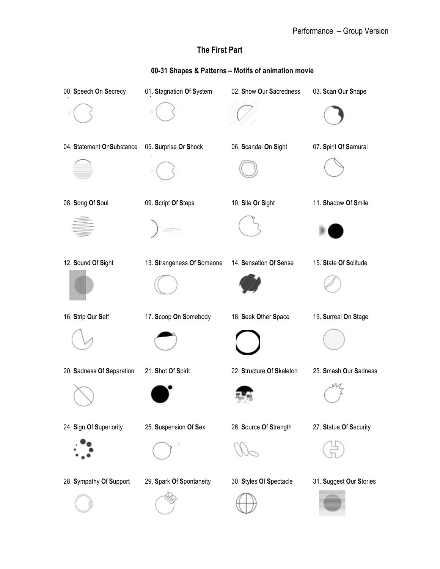# **The First Part**

# **00-31 Shapes & Patterns – Motifs of animation movie**

| 00. Speech On Secrecy     | 01. Stagnation Of System   | 02. Show Our Sacredness   | 03. Scan Our Shape      |
|---------------------------|----------------------------|---------------------------|-------------------------|
|                           |                            |                           |                         |
| 04. Statement OnSubstance | 05. Surprise Or Shock      | 06. Scandal On Sight      | 07. Spirit Of Samurai   |
|                           |                            |                           |                         |
| 08. Song Of Soul          | 09. Script Of Steps        | 10. Site Or Sight         | 11. Shadow Of Smile     |
|                           |                            |                           |                         |
| 12. Sound Of Sight        | 13. Strangeness Of Someone | 14. Sensation Of Sense    | 15. State Of Solitude   |
|                           |                            |                           |                         |
| 16. Strip Our Self        | 17. Scoop On Somebody      | 18. Seek Other Space      | 19. Surreal On Stage    |
|                           |                            |                           |                         |
| 20. Sadness Of Separation | 21. Shot Of Spirit         | 22. Structure Of Skeleton | 23. Smash Our Sadness   |
|                           |                            |                           |                         |
| 24. Sign Of Superiority   | 25. Suspension Of Sex      | 26. Source Of Strength    | 27. Statue Of Security  |
|                           |                            |                           |                         |
| 28. Sympathy Of Support   | 29. Spark Of Spontaneity   | 30. Styles Of Spectacle   | 31. Suggest Our Stories |
|                           |                            |                           |                         |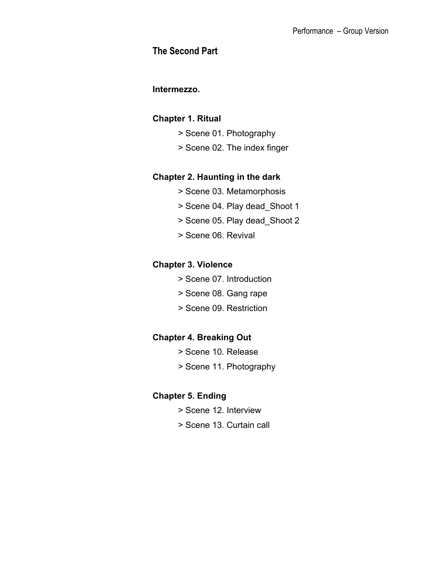# **The Second Part**

### **Intermezzo.**

# **Chapter 1. Ritual**

- > Scene 01. Photography
- > Scene 02. The index finger

## **Chapter 2. Haunting in the dark**

- > Scene 03. Metamorphosis
- > Scene 04. Play dead\_Shoot 1
- > Scene 05. Play dead\_Shoot 2
- > Scene 06. Revival

# **Chapter 3. Violence**

- > Scene 07. Introduction
- > Scene 08. Gang rape
- > Scene 09. Restriction

# **Chapter 4. Breaking Out**

- > Scene 10. Release
- > Scene 11. Photography

# **Chapter 5. Ending**

- > Scene 12. Interview
- > Scene 13. Curtain call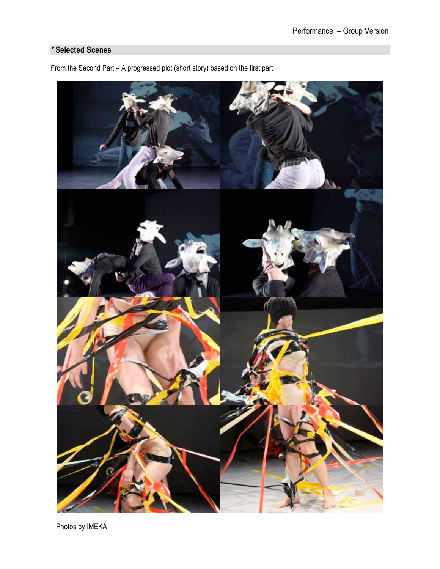# *\** **Selected Scenes**



From the Second Part – A progressed plot (short story) based on the first part

Photos by IMEKA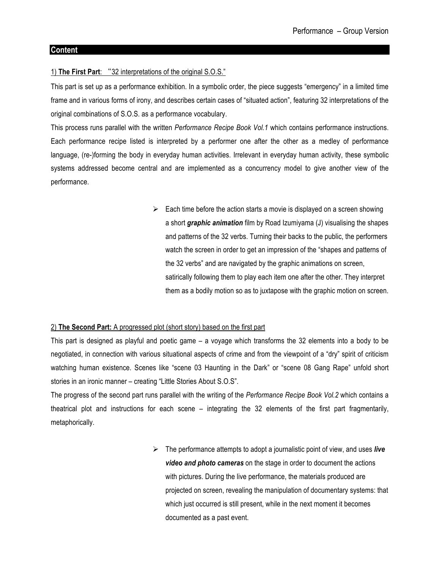### **Content**

### 1) **The First Part**: "32 interpretations of the original S.O.S."

This part is set up as a performance exhibition. In a symbolic order, the piece suggests "emergency" in a limited time frame and in various forms of irony, and describes certain cases of "situated action", featuring 32 interpretations of the original combinations of S.O.S. as a performance vocabulary.

This process runs parallel with the written *Performance Recipe Book Vol.1* which contains performance instructions. Each performance recipe listed is interpreted by a performer one after the other as a medley of performance language, (re-)forming the body in everyday human activities. Irrelevant in everyday human activity, these symbolic systems addressed become central and are implemented as a concurrency model to give another view of the performance.

> $\triangleright$  Each time before the action starts a movie is displayed on a screen showing a short *graphic animation* film by Road Izumiyama (J) visualising the shapes and patterns of the 32 verbs. Turning their backs to the public, the performers watch the screen in order to get an impression of the "shapes and patterns of the 32 verbs" and are navigated by the graphic animations on screen, satirically following them to play each item one after the other. They interpret them as a bodily motion so as to juxtapose with the graphic motion on screen.

#### 2) **The Second Part:** A progressed plot (short story) based on the first part

This part is designed as playful and poetic game – a voyage which transforms the 32 elements into a body to be negotiated, in connection with various situational aspects of crime and from the viewpoint of a "dry" spirit of criticism watching human existence. Scenes like "scene 03 Haunting in the Dark" or "scene 08 Gang Rape" unfold short stories in an ironic manner – creating "Little Stories About S.O.S".

The progress of the second part runs parallel with the writing of the *Performance Recipe Book Vol.2* which contains a theatrical plot and instructions for each scene – integrating the 32 elements of the first part fragmentarily, metaphorically.

> ! The performance attempts to adopt a journalistic point of view, and uses *live video and photo cameras* on the stage in order to document the actions with pictures. During the live performance, the materials produced are projected on screen, revealing the manipulation of documentary systems: that which just occurred is still present, while in the next moment it becomes documented as a past event.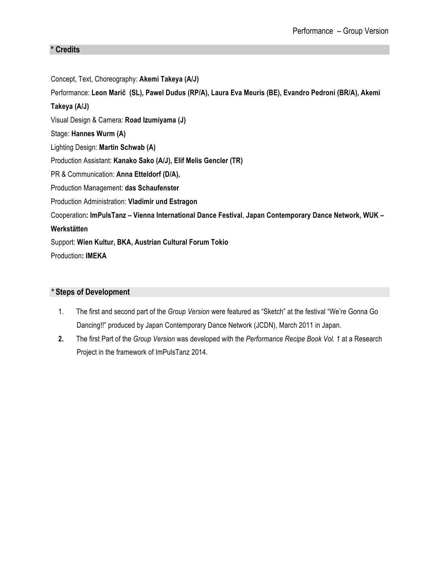### **\* Credits**

Concept, Text, Choreography: **Akemi Takeya (A/J)** Performance: **Leon Marič (SL), Pawel Dudus (RP/A), Laura Eva Meuris (BE), Evandro Pedroni (BR/A), Akemi Takeya (A/J)** Visual Design & Camera: **Road Izumiyama (J)** Stage: **Hannes Wurm (A)** Lighting Design: **Martin Schwab (A)** Production Assistant: **Kanako Sako (A/J), Elif Melis Gencler (TR)** PR & Communication: **Anna Etteldorf (D/A),** Production Management: **das Schaufenster** Production Administration: **Vladimir und Estragon** Cooperation**: ImPulsTanz – Vienna International Dance Festival**, **Japan Contemporary Dance Network, WUK – Werkstätten**  Support: **Wien Kultur, BKA, Austrian Cultural Forum Tokio** Production**: IMEKA**

### *\** **Steps of Development**

- 1. The first and second part of the *Group Version* were featured as "Sketch" at the festival "We're Gonna Go Dancing!!" produced by Japan Contemporary Dance Network (JCDN), March 2011 in Japan.
- **2.** The first Part of the *Group Version* was developed with the *Performance Recipe Book Vol. 1* at a Research Project in the framework of ImPulsTanz 2014.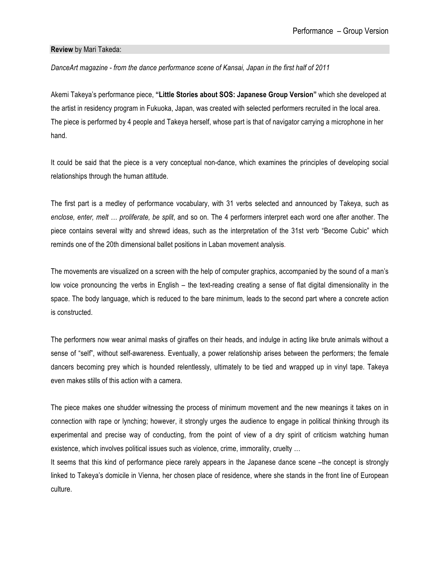### **Review** by Mari Takeda:

*DanceArt magazine - from the dance performance scene of Kansai, Japan in the first half of 2011*

Akemi Takeya's performance piece, **"Little Stories about SOS: Japanese Group Version"** which she developed at the artist in residency program in Fukuoka, Japan, was created with selected performers recruited in the local area. The piece is performed by 4 people and Takeya herself, whose part is that of navigator carrying a microphone in her hand.

It could be said that the piece is a very conceptual non-dance, which examines the principles of developing social relationships through the human attitude.

The first part is a medley of performance vocabulary, with 31 verbs selected and announced by Takeya, such as *enclose, enter, melt … proliferate, be split*, and so on. The 4 performers interpret each word one after another. The piece contains several witty and shrewd ideas, such as the interpretation of the 31st verb "Become Cubic" which reminds one of the 20th dimensional ballet positions in Laban movement analysis.

The movements are visualized on a screen with the help of computer graphics, accompanied by the sound of a man's low voice pronouncing the verbs in English – the text-reading creating a sense of flat digital dimensionality in the space. The body language, which is reduced to the bare minimum, leads to the second part where a concrete action is constructed.

The performers now wear animal masks of giraffes on their heads, and indulge in acting like brute animals without a sense of "self", without self-awareness. Eventually, a power relationship arises between the performers; the female dancers becoming prey which is hounded relentlessly, ultimately to be tied and wrapped up in vinyl tape. Takeya even makes stills of this action with a camera.

The piece makes one shudder witnessing the process of minimum movement and the new meanings it takes on in connection with rape or lynching; however, it strongly urges the audience to engage in political thinking through its experimental and precise way of conducting, from the point of view of a dry spirit of criticism watching human existence, which involves political issues such as violence, crime, immorality, cruelty …

It seems that this kind of performance piece rarely appears in the Japanese dance scene –the concept is strongly linked to Takeya's domicile in Vienna, her chosen place of residence, where she stands in the front line of European culture.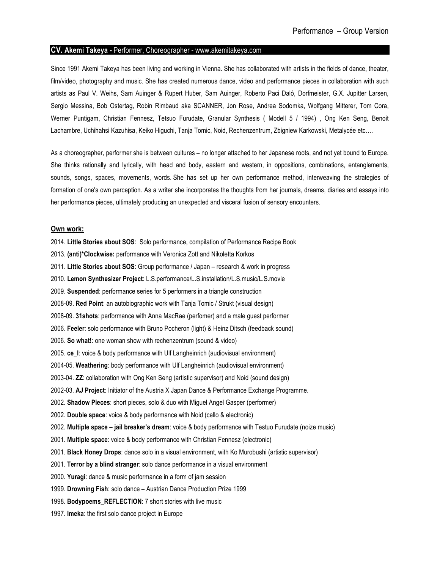#### **CV. Akemi Takeya** *-* Performer, Choreographer - www.akemitakeya.com

Since 1991 Akemi Takeya has been living and working in Vienna. She has collaborated with artists in the fields of dance, theater, film/video, photography and music. She has created numerous dance, video and performance pieces in collaboration with such artists as Paul V. Weihs, Sam Auinger & Rupert Huber, Sam Auinger, Roberto Paci Daló, Dorfmeister, G.X. Jupitter Larsen, Sergio Messina, Bob Ostertag, Robin Rimbaud aka SCANNER, Jon Rose, Andrea Sodomka, Wolfgang Mitterer, Tom Cora, Werner Puntigam, Christian Fennesz, Tetsuo Furudate, Granular Synthesis ( Modell 5 / 1994) , Ong Ken Seng, Benoit Lachambre, Uchihahsi Kazuhisa, Keiko Higuchi, Tanja Tomic, Noid, Rechenzentrum, Zbigniew Karkowski, Metalycée etc….

As a choreographer, performer she is between cultures – no longer attached to her Japanese roots, and not yet bound to Europe. She thinks rationally and lyrically, with head and body, eastern and western, in oppositions, combinations, entanglements, sounds, songs, spaces, movements, words. She has set up her own performance method, interweaving the strategies of formation of one's own perception. As a writer she incorporates the thoughts from her journals, dreams, diaries and essays into her performance pieces, ultimately producing an unexpected and visceral fusion of sensory encounters.

#### **Own work:**

2014. **Little Stories about SOS**: Solo performance, compilation of Performance Recipe Book 2013. **(anti)\*Clockwise:** performance with Veronica Zott and Nikoletta Korkos 2011. **Little Stories about SOS**: Group performance / Japan – research & work in progress 2010. **Lemon Synthesizer Project**: L.S.performance/L.S.installation/L.S.music/L.S.movie 2009. **Suspended**: performance series for 5 performers in a triangle construction 2008-09. **Red Point**: an autobiographic work with Tanja Tomic / Strukt (visual design) 2008-09. **31shots**: performance with Anna MacRae (perfomer) and a male guest performer 2006. **Feeler**: solo performance with Bruno Pocheron (light) & Heinz Ditsch (feedback sound) 2006. **So what!**: one woman show with rechenzentrum (sound & video) 2005. **ce\_l**: voice & body performance with Ulf Langheinrich (audiovisual environment) 2004-05. **Weathering**: body performance with Ulf Langheinrich (audiovisual environment) 2003-04. **ZZ**: collaboration with Ong Ken Seng (artistic supervisor) and Noid (sound design) 2002-03. **AJ Project**: Initiator of the Austria X Japan Dance & Performance Exchange Programme. 2002. **Shadow Pieces**: short pieces, solo & duo with Miguel Angel Gasper (performer) 2002. **Double space**: voice & body performance with Noid (cello & electronic) 2002. **Multiple space – jail breaker's dream**: voice & body performance with Testuo Furudate (noize music) 2001. **Multiple space**: voice & body performance with Christian Fennesz (electronic) 2001. **Black Honey Drops**: dance solo in a visual environment, with Ko Murobushi (artistic supervisor) 2001. **Terror by a blind stranger**: solo dance performance in a visual environment 2000. **Yuragi**: dance & music performance in a form of jam session 1999. **Drowning Fish**: solo dance – Austrian Dance Production Prize 1999 1998. **Bodypoems\_REFLECTION**: 7 short stories with live music 1997. **Imeka**: the first solo dance project in Europe